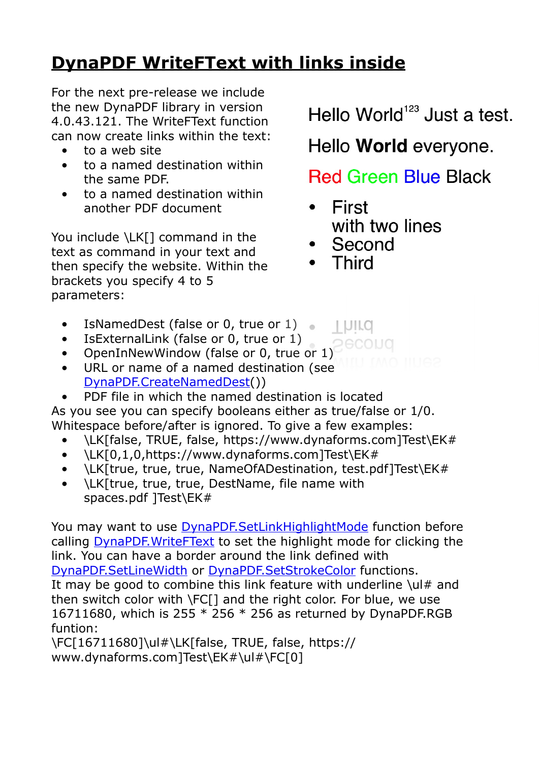## **[DynaPDF WriteFText with links inside](https://www.mbs-plugins.com/archive/2020-10-08/DynaPDF_WriteFText_with_links_/monkeybreadsoftware_blog_filemaker)**

For the next pre-release we include the new DynaPDF library in version 4.0.43.121. The WriteFText function can now create links within the text:

- to a web site
- to a named destination within the same PDF.
- to a named destination within another PDF document

You include \LK[] command in the text as command in your text and then specify the website. Within the brackets you specify 4 to 5 parameters:

- IsNamedDest (false or 0, true or 1)
- IsExternalLink (false or 0, true or 1)
- OpenInNewWindow (false or 0, true or 1)
- URL or name of a named destination (see [DynaPDF.CreateNamedDest](https://www.mbsplugins.eu/DynaPDFCreateNamedDest.shtml)())
- PDF file in which the named destination is located

As you see you can specify booleans either as true/false or 1/0. Whitespace before/after is ignored. To give a few examples:

- \LK[false, TRUE, false, https://www.dynaforms.com]Test\EK#
- \LK[0,1,0,https://www.dynaforms.com]Test\EK#
- \LK[true, true, true, NameOfADestination, test.pdf]Test\EK#
- \LK[true, true, true, DestName, file name with spaces.pdf ]Test\EK#

You may want to use **DynaPDF.SetLinkHighlightMode** function before calling [DynaPDF.WriteFText](https://www.mbsplugins.eu/DynaPDFWriteFText.shtml) to set the highlight mode for clicking the link. You can have a border around the link defined with [DynaPDF.SetLineWidth](https://www.mbsplugins.eu/DynaPDFSetLineWidth.shtml) or [DynaPDF.SetStrokeColor](https://www.mbsplugins.eu/DynaPDFSetStrokeColor.shtml) functions. It may be good to combine this link feature with underline  $\lceil \text{ul} \#$  and then switch color with \FC[] and the right color. For blue, we use 16711680, which is 255  $*$  256  $*$  256 as returned by DynaPDF.RGB funtion:

\FC[16711680]\ul#\LK[false, TRUE, false, https:// www.dynaforms.com]Test\EK#\ul#\FC[0]

Hello World<sup>123</sup> Just a test.

Hello World everyone.

**Red Green Blue Black** 

- **First**  $\bullet$ with two lines
- Second

**I DILO** 

• Third